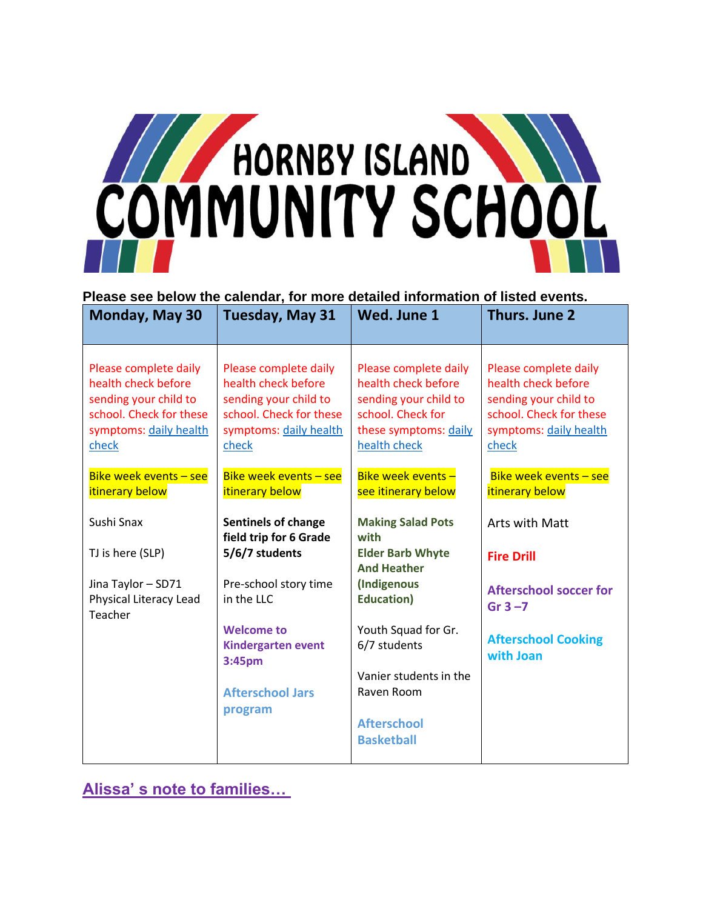

#### **Please see below the calendar, for more detailed information of listed events.**

| Monday, May 30                                                                                                                      | Tuesday, May 31                                                                                                                     | Wed. June 1                                                                                                                         | Thurs. June 2                                                                                                                       |
|-------------------------------------------------------------------------------------------------------------------------------------|-------------------------------------------------------------------------------------------------------------------------------------|-------------------------------------------------------------------------------------------------------------------------------------|-------------------------------------------------------------------------------------------------------------------------------------|
| Please complete daily<br>health check before<br>sending your child to<br>school. Check for these<br>symptoms: daily health<br>check | Please complete daily<br>health check before<br>sending your child to<br>school. Check for these<br>symptoms: daily health<br>check | Please complete daily<br>health check before<br>sending your child to<br>school. Check for<br>these symptoms: daily<br>health check | Please complete daily<br>health check before<br>sending your child to<br>school. Check for these<br>symptoms: daily health<br>check |
| Bike week events - see<br>itinerary below                                                                                           | Bike week events - see<br>itinerary below                                                                                           | Bike week events -<br>see itinerary below                                                                                           | Bike week events - see<br>itinerary below                                                                                           |
| Sushi Snax                                                                                                                          | <b>Sentinels of change</b><br>field trip for 6 Grade                                                                                | <b>Making Salad Pots</b><br>with                                                                                                    | <b>Arts with Matt</b>                                                                                                               |
| TJ is here (SLP)                                                                                                                    | 5/6/7 students                                                                                                                      | <b>Elder Barb Whyte</b><br><b>And Heather</b>                                                                                       | <b>Fire Drill</b>                                                                                                                   |
| Jina Taylor - SD71<br>Physical Literacy Lead<br>Teacher                                                                             | Pre-school story time<br>in the LLC                                                                                                 | (Indigenous<br><b>Education</b> )                                                                                                   | <b>Afterschool soccer for</b><br>Gr $3 - 7$                                                                                         |
|                                                                                                                                     | <b>Welcome to</b><br><b>Kindergarten event</b><br>3:45pm                                                                            | Youth Squad for Gr.<br>6/7 students                                                                                                 | <b>Afterschool Cooking</b><br>with Joan                                                                                             |
|                                                                                                                                     | <b>Afterschool Jars</b>                                                                                                             | Vanier students in the<br>Raven Room                                                                                                |                                                                                                                                     |
|                                                                                                                                     | program                                                                                                                             | <b>Afterschool</b><br><b>Basketball</b>                                                                                             |                                                                                                                                     |

**Alissa' s note to families…**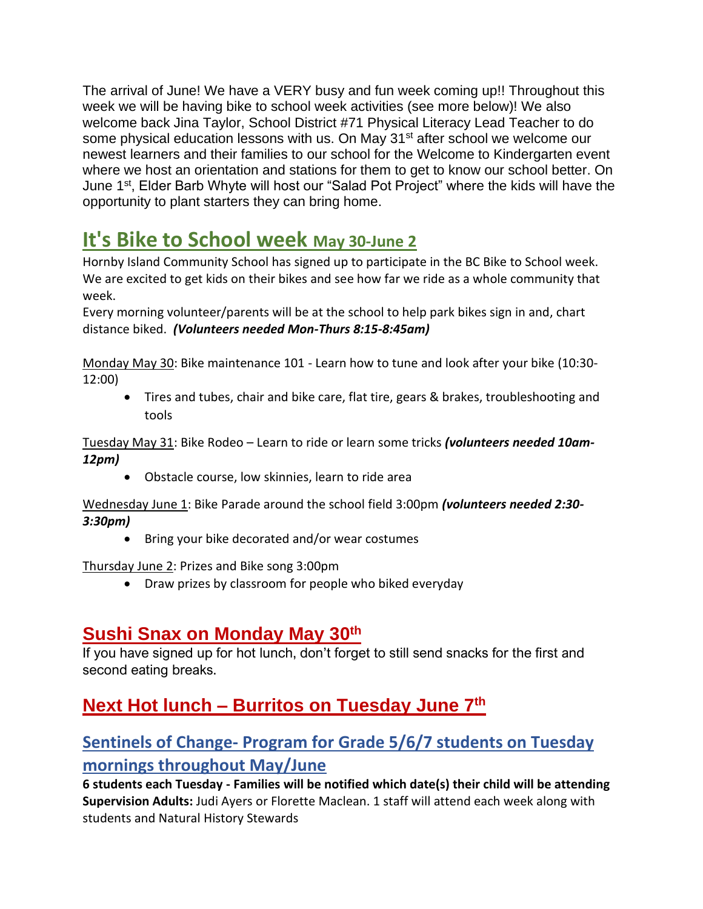The arrival of June! We have a VERY busy and fun week coming up!! Throughout this week we will be having bike to school week activities (see more below)! We also welcome back Jina Taylor, School District #71 Physical Literacy Lead Teacher to do some physical education lessons with us. On May 31<sup>st</sup> after school we welcome our newest learners and their families to our school for the Welcome to Kindergarten event where we host an orientation and stations for them to get to know our school better. On June 1st, Elder Barb Whyte will host our "Salad Pot Project" where the kids will have the opportunity to plant starters they can bring home.

# **It's Bike to School week May 30-June 2**

Hornby Island Community School has signed up to participate in the BC Bike to School week. We are excited to get kids on their bikes and see how far we ride as a whole community that week.

Every morning volunteer/parents will be at the school to help park bikes sign in and, chart distance biked. *(Volunteers needed Mon-Thurs 8:15-8:45am)*

Monday May 30: Bike maintenance 101 - Learn how to tune and look after your bike (10:30- 12:00)

• Tires and tubes, chair and bike care, flat tire, gears & brakes, troubleshooting and tools

Tuesday May 31: Bike Rodeo – Learn to ride or learn some tricks *(volunteers needed 10am-12pm)*

• Obstacle course, low skinnies, learn to ride area

Wednesday June 1: Bike Parade around the school field 3:00pm *(volunteers needed 2:30- 3:30pm)*

• Bring your bike decorated and/or wear costumes

Thursday June 2: Prizes and Bike song 3:00pm

• Draw prizes by classroom for people who biked everyday

## **Sushi Snax on Monday May 30th**

If you have signed up for hot lunch, don't forget to still send snacks for the first and second eating breaks.

# **Next Hot lunch – Burritos on Tuesday June 7th**

## **Sentinels of Change- Program for Grade 5/6/7 students on Tuesday mornings throughout May/June**

**6 students each Tuesday - Families will be notified which date(s) their child will be attending Supervision Adults:** Judi Ayers or Florette Maclean. 1 staff will attend each week along with students and Natural History Stewards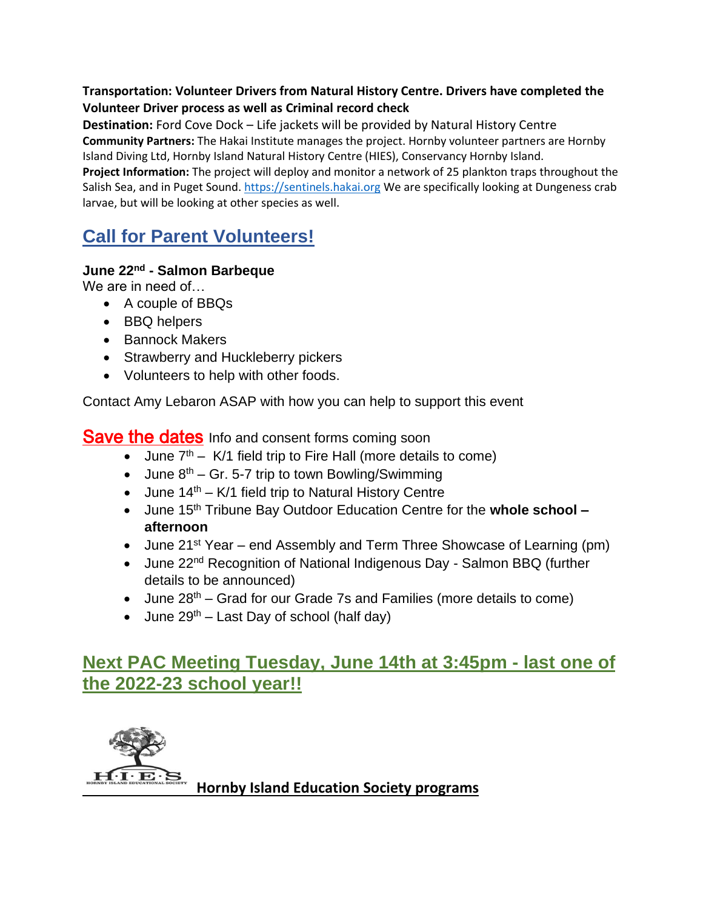#### **Transportation: Volunteer Drivers from Natural History Centre. Drivers have completed the Volunteer Driver process as well as Criminal record check**

**Destination:** Ford Cove Dock – Life jackets will be provided by Natural History Centre **Community Partners:** The Hakai Institute manages the project. Hornby volunteer partners are Hornby

Island Diving Ltd, Hornby Island Natural History Centre (HIES), Conservancy Hornby Island.

**Project Information:** The project will deploy and monitor a network of 25 plankton traps throughout the Salish Sea, and in Puget Sound. [https://sentinels.hakai.org](https://sentinels.hakai.org/) We are specifically looking at Dungeness crab larvae, but will be looking at other species as well.

# **Call for Parent Volunteers!**

### **June 22nd - Salmon Barbeque**

We are in need of…

- A couple of BBQs
- BBQ helpers
- Bannock Makers
- Strawberry and Huckleberry pickers
- Volunteers to help with other foods.

Contact Amy Lebaron ASAP with how you can help to support this event

**Save the dates** Info and consent forms coming soon

- June  $7<sup>th</sup>$  K/1 field trip to Fire Hall (more details to come)
- June  $8<sup>th</sup>$  Gr. 5-7 trip to town Bowling/Swimming
- June  $14<sup>th</sup> K/1$  field trip to Natural History Centre
- June 15th Tribune Bay Outdoor Education Centre for the **whole school – afternoon**
- June 21<sup>st</sup> Year end Assembly and Term Three Showcase of Learning (pm)
- June 22<sup>nd</sup> Recognition of National Indigenous Day Salmon BBQ (further details to be announced)
- June 28<sup>th</sup> Grad for our Grade 7s and Families (more details to come)
- June  $29^{th}$  Last Day of school (half day)

## **Next PAC Meeting Tuesday, June 14th at 3:45pm - last one of the 2022-23 school year!!**



**Hornby Island Education Society programs**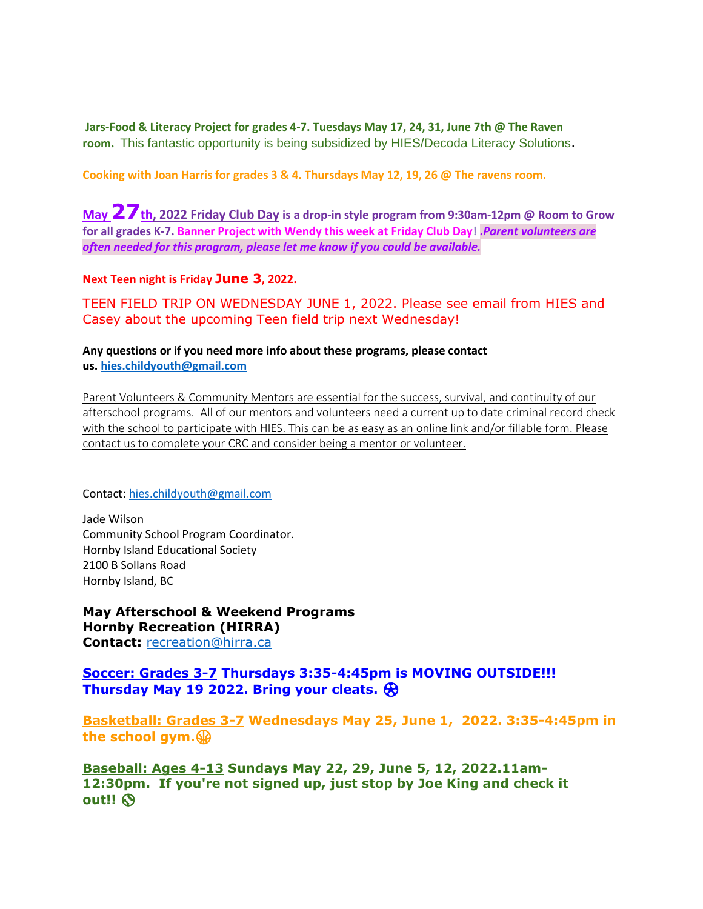**Jars-Food & Literacy Project for grades 4-7. Tuesdays May 17, 24, 31, June 7th @ The Raven room.** This fantastic opportunity is being subsidized by HIES/Decoda Literacy Solutions.

**Cooking with Joan Harris for grades 3 & 4. Thursdays May 12, 19, 26 @ The ravens room.**

**May 27th, 2022 Friday Club Day is a drop-in style program from 9:30am-12pm @ Room to Grow for all grades K-7. Banner Project with Wendy this week at Friday Club Day! .***Parent volunteers are often needed for this program, please let me know if you could be available.*

**Next Teen night is Friday June 3, 2022.**

TEEN FIELD TRIP ON WEDNESDAY JUNE 1, 2022. Please see email from HIES and Casey about the upcoming Teen field trip next Wednesday!

**Any questions or if you need more info about these programs, please contact us. [hies.childyouth@gmail.com](mailto:hies.childyouth@gmail.com)**

Parent Volunteers & Community Mentors are essential for the success, survival, and continuity of our afterschool programs. All of our mentors and volunteers need a current up to date criminal record check with the school to participate with HIES. This can be as easy as an online link and/or fillable form. Please contact us to complete your CRC and consider being a mentor or volunteer.

Contact: [hies.childyouth@gmail.com](mailto:hies.childyouth@gmail.com)

Jade Wilson Community School Program Coordinator. Hornby Island Educational Society 2100 B Sollans Road Hornby Island, BC

**May Afterschool & Weekend Programs Hornby Recreation (HIRRA)**

**Contact:** [recreation@hirra.ca](mailto:recreation@hirra.ca)

**Soccer: Grades 3-7 Thursdays 3:35-4:45pm is MOVING OUTSIDE!!! Thursday May 19 2022. Bring your cleats.** ⚽

**Basketball: Grades 3-7 Wednesdays May 25, June 1, 2022. 3:35-4:45pm in the school gym.**

**Baseball: Ages 4-13 Sundays May 22, 29, June 5, 12, 2022.11am-12:30pm. If you're not signed up, just stop by Joe King and check it out!!** ⚾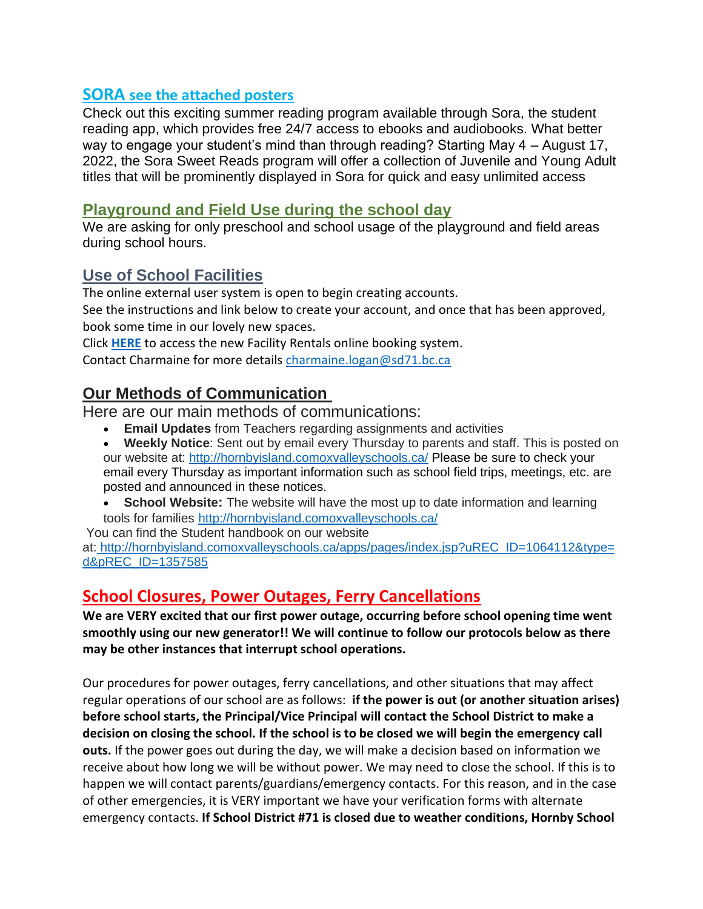### **SORA see the attached posters**

Check out this exciting summer reading program available through Sora, the student reading app, which provides free 24/7 access to ebooks and audiobooks. What better way to engage your student's mind than through reading? Starting May 4 – August 17, 2022, the Sora Sweet Reads program will offer a collection of Juvenile and Young Adult titles that will be prominently displayed in Sora for quick and easy unlimited access

### **Playground and Field Use during the school day**

We are asking for only preschool and school usage of the playground and field areas during school hours.

### **Use of School Facilities**

The online external user system is open to begin creating accounts.

See the instructions and link below to create your account, and once that has been approved, book some time in our lovely new spaces.

Click **[HERE](https://sd71.ebasefm.com/rentals/welcome)** to access the new Facility Rentals online booking system.

Contact Charmaine for more details [charmaine.logan@sd71.bc.ca](mailto:charmaine.logan@sd71.bc.ca)

### **Our Methods of Communication**

Here are our main methods of communications:

- **Email Updates** from Teachers regarding assignments and activities
- **Weekly Notice**: Sent out by email every Thursday to parents and staff. This is posted on our website at: <http://hornbyisland.comoxvalleyschools.ca/> Please be sure to check your email every Thursday as important information such as school field trips, meetings, etc. are posted and announced in these notices.
- **School Website:** The website will have the most up to date information and learning tools for families <http://hornbyisland.comoxvalleyschools.ca/>

You can find the Student handbook on our website

at: [http://hornbyisland.comoxvalleyschools.ca/apps/pages/index.jsp?uREC\\_ID=1064112&type=](http://hornbyisland.comoxvalleyschools.ca/apps/pages/index.jsp?uREC_ID=1064112&type=d&pREC_ID=1357585) [d&pREC\\_ID=1357585](http://hornbyisland.comoxvalleyschools.ca/apps/pages/index.jsp?uREC_ID=1064112&type=d&pREC_ID=1357585)

### **School Closures, Power Outages, Ferry Cancellations**

**We are VERY excited that our first power outage, occurring before school opening time went smoothly using our new generator!! We will continue to follow our protocols below as there may be other instances that interrupt school operations.** 

Our procedures for power outages, ferry cancellations, and other situations that may affect regular operations of our school are as follows: **if the power is out (or another situation arises) before school starts, the Principal/Vice Principal will contact the School District to make a decision on closing the school. If the school is to be closed we will begin the emergency call outs.** If the power goes out during the day, we will make a decision based on information we receive about how long we will be without power. We may need to close the school. If this is to happen we will contact parents/guardians/emergency contacts. For this reason, and in the case of other emergencies, it is VERY important we have your verification forms with alternate emergency contacts. **If School District #71 is closed due to weather conditions, Hornby School**